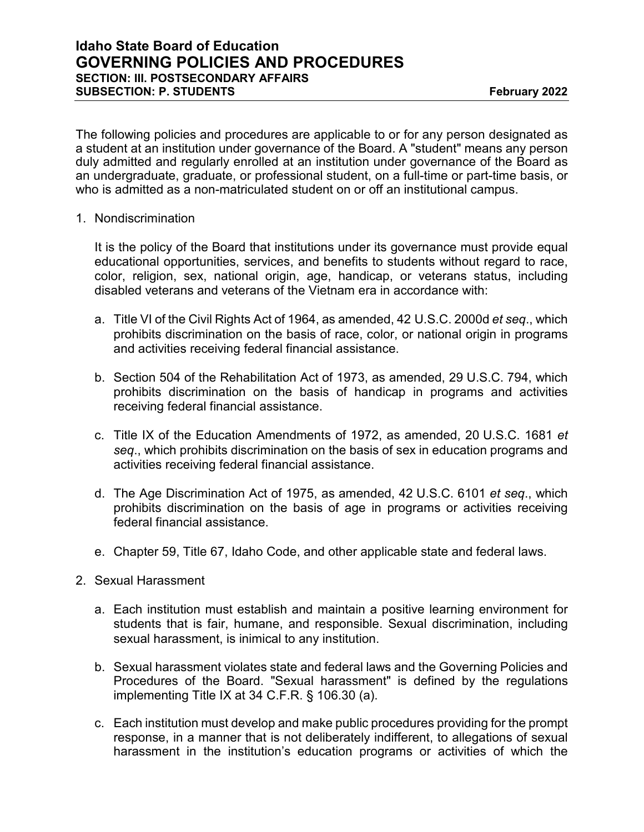The following policies and procedures are applicable to or for any person designated as a student at an institution under governance of the Board. A "student" means any person duly admitted and regularly enrolled at an institution under governance of the Board as an undergraduate, graduate, or professional student, on a full-time or part-time basis, or who is admitted as a non-matriculated student on or off an institutional campus.

1. Nondiscrimination

It is the policy of the Board that institutions under its governance must provide equal educational opportunities, services, and benefits to students without regard to race, color, religion, sex, national origin, age, handicap, or veterans status, including disabled veterans and veterans of the Vietnam era in accordance with:

- a. Title VI of the Civil Rights Act of 1964, as amended, 42 U.S.C. 2000d *et seq*., which prohibits discrimination on the basis of race, color, or national origin in programs and activities receiving federal financial assistance.
- b. Section 504 of the Rehabilitation Act of 1973, as amended, 29 U.S.C. 794, which prohibits discrimination on the basis of handicap in programs and activities receiving federal financial assistance.
- c. Title IX of the Education Amendments of 1972, as amended, 20 U.S.C. 1681 *et seq*., which prohibits discrimination on the basis of sex in education programs and activities receiving federal financial assistance.
- d. The Age Discrimination Act of 1975, as amended, 42 U.S.C. 6101 *et seq*., which prohibits discrimination on the basis of age in programs or activities receiving federal financial assistance.
- e. Chapter 59, Title 67, Idaho Code, and other applicable state and federal laws.
- 2. Sexual Harassment
	- a. Each institution must establish and maintain a positive learning environment for students that is fair, humane, and responsible. Sexual discrimination, including sexual harassment, is inimical to any institution.
	- b. Sexual harassment violates state and federal laws and the Governing Policies and Procedures of the Board. "Sexual harassment" is defined by the regulations implementing Title IX at 34 C.F.R. § 106.30 (a).
	- c. Each institution must develop and make public procedures providing for the prompt response, in a manner that is not deliberately indifferent, to allegations of sexual harassment in the institution's education programs or activities of which the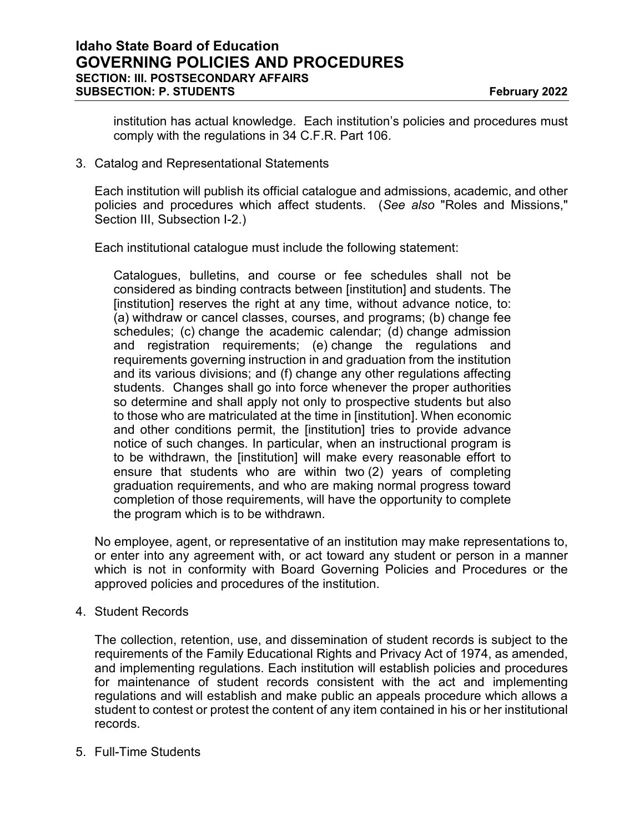institution has actual knowledge. Each institution's policies and procedures must comply with the regulations in 34 C.F.R. Part 106.

3. Catalog and Representational Statements

Each institution will publish its official catalogue and admissions, academic, and other policies and procedures which affect students. (*See also* "Roles and Missions," Section III, Subsection I-2.)

Each institutional catalogue must include the following statement:

Catalogues, bulletins, and course or fee schedules shall not be considered as binding contracts between [institution] and students. The [institution] reserves the right at any time, without advance notice, to: (a) withdraw or cancel classes, courses, and programs; (b) change fee schedules; (c) change the academic calendar; (d) change admission and registration requirements; (e) change the regulations and requirements governing instruction in and graduation from the institution and its various divisions; and (f) change any other regulations affecting students. Changes shall go into force whenever the proper authorities so determine and shall apply not only to prospective students but also to those who are matriculated at the time in [institution]. When economic and other conditions permit, the [institution] tries to provide advance notice of such changes. In particular, when an instructional program is to be withdrawn, the [institution] will make every reasonable effort to ensure that students who are within two (2) years of completing graduation requirements, and who are making normal progress toward completion of those requirements, will have the opportunity to complete the program which is to be withdrawn.

No employee, agent, or representative of an institution may make representations to, or enter into any agreement with, or act toward any student or person in a manner which is not in conformity with Board Governing Policies and Procedures or the approved policies and procedures of the institution.

4. Student Records

The collection, retention, use, and dissemination of student records is subject to the requirements of the Family Educational Rights and Privacy Act of 1974, as amended, and implementing regulations. Each institution will establish policies and procedures for maintenance of student records consistent with the act and implementing regulations and will establish and make public an appeals procedure which allows a student to contest or protest the content of any item contained in his or her institutional records.

5. Full-Time Students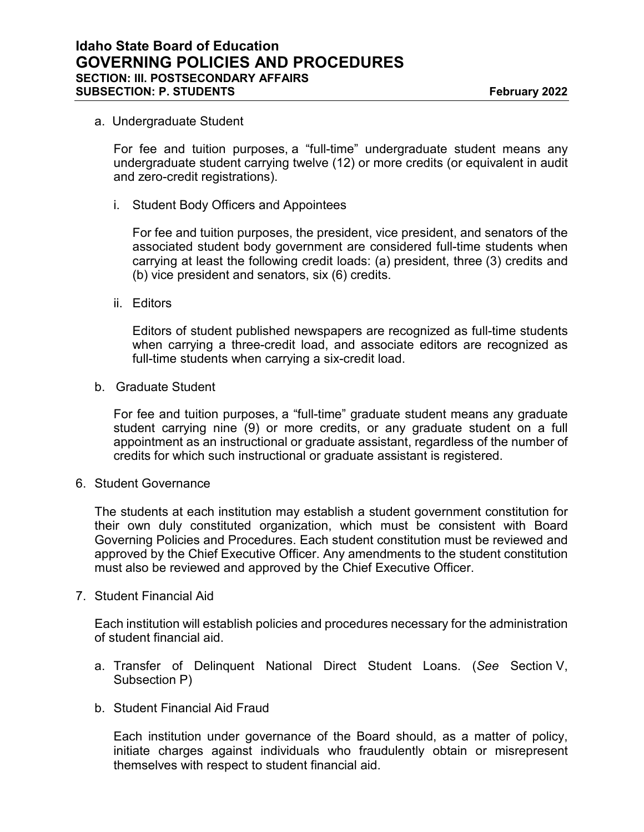#### a. Undergraduate Student

For fee and tuition purposes, a "full-time" undergraduate student means any undergraduate student carrying twelve (12) or more credits (or equivalent in audit and zero-credit registrations).

i. Student Body Officers and Appointees

For fee and tuition purposes, the president, vice president, and senators of the associated student body government are considered full-time students when carrying at least the following credit loads: (a) president, three (3) credits and (b) vice president and senators, six (6) credits.

ii. Editors

Editors of student published newspapers are recognized as full-time students when carrying a three-credit load, and associate editors are recognized as full-time students when carrying a six-credit load.

b. Graduate Student

For fee and tuition purposes, a "full-time" graduate student means any graduate student carrying nine (9) or more credits, or any graduate student on a full appointment as an instructional or graduate assistant, regardless of the number of credits for which such instructional or graduate assistant is registered.

6. Student Governance

The students at each institution may establish a student government constitution for their own duly constituted organization, which must be consistent with Board Governing Policies and Procedures. Each student constitution must be reviewed and approved by the Chief Executive Officer. Any amendments to the student constitution must also be reviewed and approved by the Chief Executive Officer.

7. Student Financial Aid

Each institution will establish policies and procedures necessary for the administration of student financial aid.

- a. Transfer of Delinquent National Direct Student Loans. (*See* Section V, Subsection P)
- b. Student Financial Aid Fraud

Each institution under governance of the Board should, as a matter of policy, initiate charges against individuals who fraudulently obtain or misrepresent themselves with respect to student financial aid.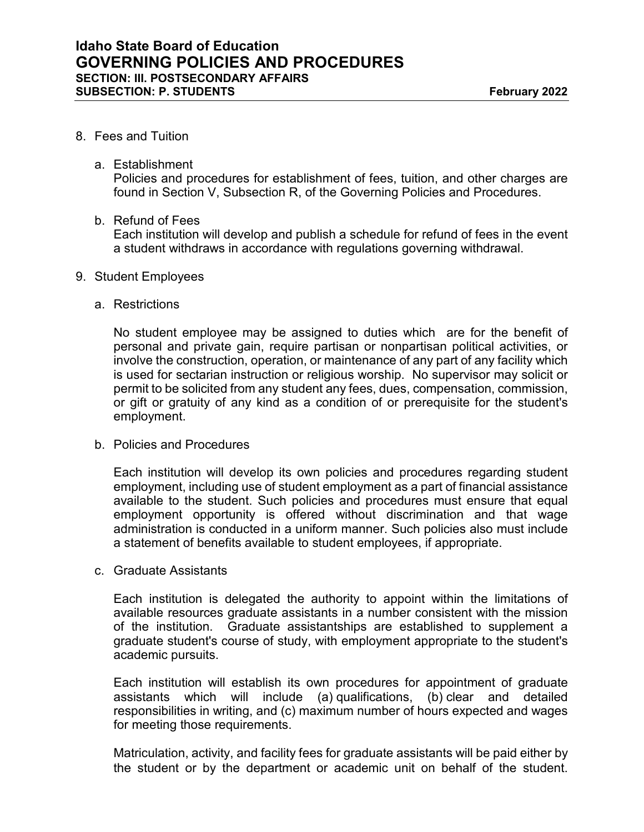## 8. Fees and Tuition

#### a. Establishment

Policies and procedures for establishment of fees, tuition, and other charges are found in Section V, Subsection R, of the Governing Policies and Procedures.

## b. Refund of Fees

Each institution will develop and publish a schedule for refund of fees in the event a student withdraws in accordance with regulations governing withdrawal.

## 9. Student Employees

## a. Restrictions

No student employee may be assigned to duties which are for the benefit of personal and private gain, require partisan or nonpartisan political activities, or involve the construction, operation, or maintenance of any part of any facility which is used for sectarian instruction or religious worship. No supervisor may solicit or permit to be solicited from any student any fees, dues, compensation, commission, or gift or gratuity of any kind as a condition of or prerequisite for the student's employment.

## b. Policies and Procedures

Each institution will develop its own policies and procedures regarding student employment, including use of student employment as a part of financial assistance available to the student. Such policies and procedures must ensure that equal employment opportunity is offered without discrimination and that wage administration is conducted in a uniform manner. Such policies also must include a statement of benefits available to student employees, if appropriate.

#### c. Graduate Assistants

Each institution is delegated the authority to appoint within the limitations of available resources graduate assistants in a number consistent with the mission of the institution. Graduate assistantships are established to supplement a graduate student's course of study, with employment appropriate to the student's academic pursuits.

Each institution will establish its own procedures for appointment of graduate assistants which will include (a) qualifications, (b) clear and detailed responsibilities in writing, and (c) maximum number of hours expected and wages for meeting those requirements.

Matriculation, activity, and facility fees for graduate assistants will be paid either by the student or by the department or academic unit on behalf of the student.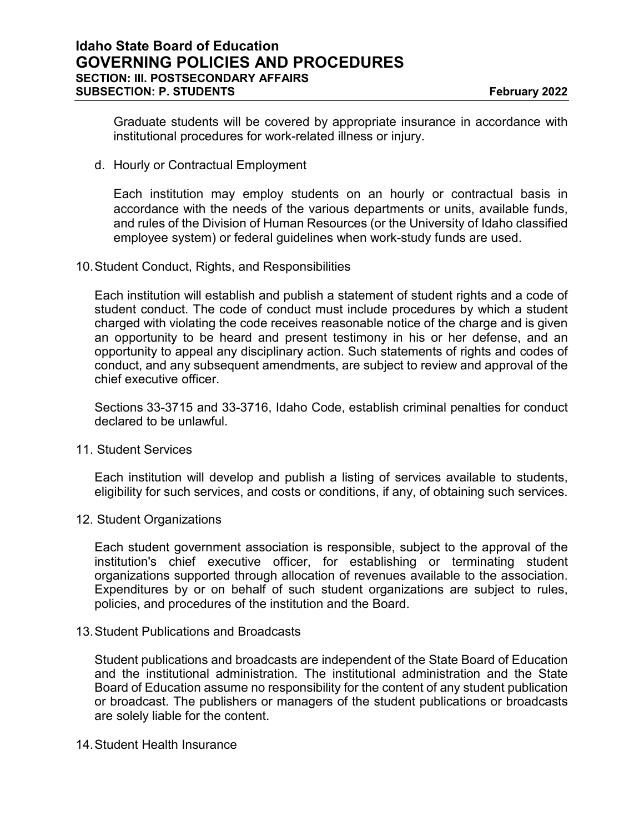Graduate students will be covered by appropriate insurance in accordance with institutional procedures for work-related illness or injury.

d. Hourly or Contractual Employment

Each institution may employ students on an hourly or contractual basis in accordance with the needs of the various departments or units, available funds, and rules of the Division of Human Resources (or the University of Idaho classified employee system) or federal guidelines when work-study funds are used.

10.Student Conduct, Rights, and Responsibilities

Each institution will establish and publish a statement of student rights and a code of student conduct. The code of conduct must include procedures by which a student charged with violating the code receives reasonable notice of the charge and is given an opportunity to be heard and present testimony in his or her defense, and an opportunity to appeal any disciplinary action. Such statements of rights and codes of conduct, and any subsequent amendments, are subject to review and approval of the chief executive officer.

Sections 33-3715 and 33-3716, Idaho Code, establish criminal penalties for conduct declared to be unlawful.

11. Student Services

Each institution will develop and publish a listing of services available to students, eligibility for such services, and costs or conditions, if any, of obtaining such services.

12. Student Organizations

Each student government association is responsible, subject to the approval of the institution's chief executive officer, for establishing or terminating student organizations supported through allocation of revenues available to the association. Expenditures by or on behalf of such student organizations are subject to rules, policies, and procedures of the institution and the Board.

13.Student Publications and Broadcasts

Student publications and broadcasts are independent of the State Board of Education and the institutional administration. The institutional administration and the State Board of Education assume no responsibility for the content of any student publication or broadcast. The publishers or managers of the student publications or broadcasts are solely liable for the content.

14.Student Health Insurance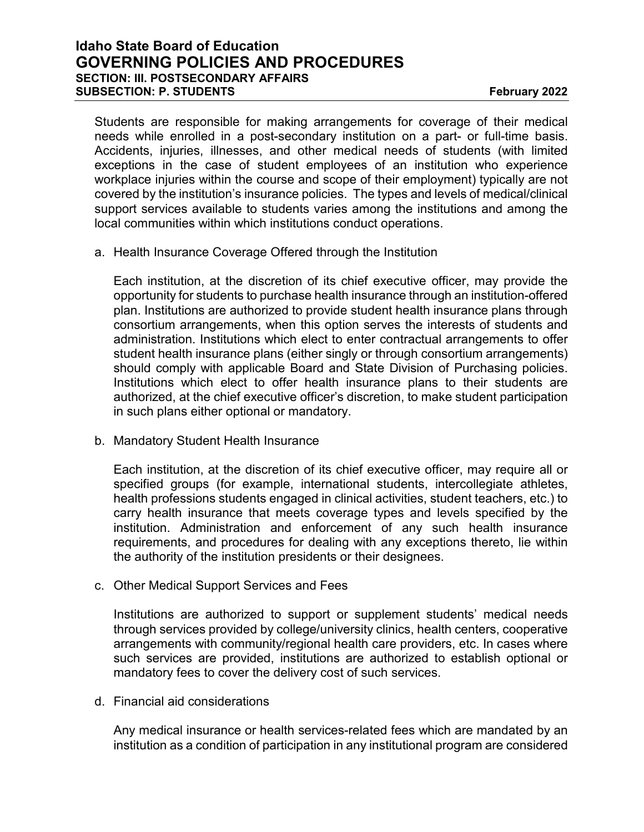# **Idaho State Board of Education GOVERNING POLICIES AND PROCEDURES SECTION: III. POSTSECONDARY AFFAIRS SUBSECTION: P. STUDENTS February 2022**

Students are responsible for making arrangements for coverage of their medical needs while enrolled in a post-secondary institution on a part- or full-time basis. Accidents, injuries, illnesses, and other medical needs of students (with limited exceptions in the case of student employees of an institution who experience workplace injuries within the course and scope of their employment) typically are not covered by the institution's insurance policies. The types and levels of medical/clinical support services available to students varies among the institutions and among the local communities within which institutions conduct operations.

a. Health Insurance Coverage Offered through the Institution

Each institution, at the discretion of its chief executive officer, may provide the opportunity for students to purchase health insurance through an institution-offered plan. Institutions are authorized to provide student health insurance plans through consortium arrangements, when this option serves the interests of students and administration. Institutions which elect to enter contractual arrangements to offer student health insurance plans (either singly or through consortium arrangements) should comply with applicable Board and State Division of Purchasing policies. Institutions which elect to offer health insurance plans to their students are authorized, at the chief executive officer's discretion, to make student participation in such plans either optional or mandatory.

b. Mandatory Student Health Insurance

Each institution, at the discretion of its chief executive officer, may require all or specified groups (for example, international students, intercollegiate athletes, health professions students engaged in clinical activities, student teachers, etc.) to carry health insurance that meets coverage types and levels specified by the institution. Administration and enforcement of any such health insurance requirements, and procedures for dealing with any exceptions thereto, lie within the authority of the institution presidents or their designees.

c. Other Medical Support Services and Fees

Institutions are authorized to support or supplement students' medical needs through services provided by college/university clinics, health centers, cooperative arrangements with community/regional health care providers, etc. In cases where such services are provided, institutions are authorized to establish optional or mandatory fees to cover the delivery cost of such services.

d. Financial aid considerations

Any medical insurance or health services-related fees which are mandated by an institution as a condition of participation in any institutional program are considered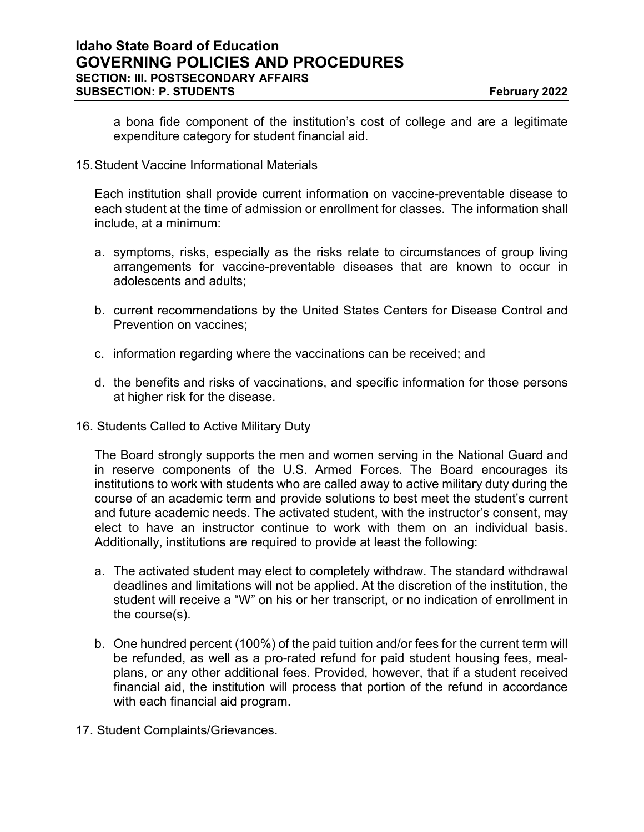a bona fide component of the institution's cost of college and are a legitimate expenditure category for student financial aid.

## 15.Student Vaccine Informational Materials

Each institution shall provide current information on vaccine-preventable disease to each student at the time of admission or enrollment for classes. The information shall include, at a minimum:

- a. symptoms, risks, especially as the risks relate to circumstances of group living arrangements for vaccine-preventable diseases that are known to occur in adolescents and adults;
- b. current recommendations by the United States Centers for Disease Control and Prevention on vaccines;
- c. information regarding where the vaccinations can be received; and
- d. the benefits and risks of vaccinations, and specific information for those persons at higher risk for the disease.
- 16. Students Called to Active Military Duty

The Board strongly supports the men and women serving in the National Guard and in reserve components of the U.S. Armed Forces. The Board encourages its institutions to work with students who are called away to active military duty during the course of an academic term and provide solutions to best meet the student's current and future academic needs. The activated student, with the instructor's consent, may elect to have an instructor continue to work with them on an individual basis. Additionally, institutions are required to provide at least the following:

- a. The activated student may elect to completely withdraw. The standard withdrawal deadlines and limitations will not be applied. At the discretion of the institution, the student will receive a "W" on his or her transcript, or no indication of enrollment in the course(s).
- b. One hundred percent (100%) of the paid tuition and/or fees for the current term will be refunded, as well as a pro-rated refund for paid student housing fees, mealplans, or any other additional fees. Provided, however, that if a student received financial aid, the institution will process that portion of the refund in accordance with each financial aid program.
- 17. Student Complaints/Grievances.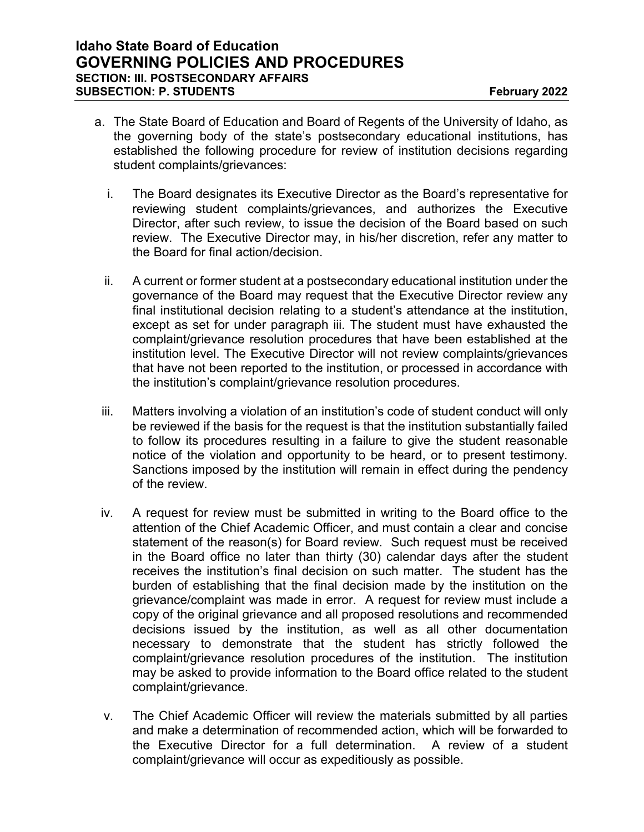- a. The State Board of Education and Board of Regents of the University of Idaho, as the governing body of the state's postsecondary educational institutions, has established the following procedure for review of institution decisions regarding student complaints/grievances:
	- i. The Board designates its Executive Director as the Board's representative for reviewing student complaints/grievances, and authorizes the Executive Director, after such review, to issue the decision of the Board based on such review. The Executive Director may, in his/her discretion, refer any matter to the Board for final action/decision.
	- ii. A current or former student at a postsecondary educational institution under the governance of the Board may request that the Executive Director review any final institutional decision relating to a student's attendance at the institution, except as set for under paragraph iii. The student must have exhausted the complaint/grievance resolution procedures that have been established at the institution level. The Executive Director will not review complaints/grievances that have not been reported to the institution, or processed in accordance with the institution's complaint/grievance resolution procedures.
- iii. Matters involving a violation of an institution's code of student conduct will only be reviewed if the basis for the request is that the institution substantially failed to follow its procedures resulting in a failure to give the student reasonable notice of the violation and opportunity to be heard, or to present testimony. Sanctions imposed by the institution will remain in effect during the pendency of the review.
- iv. A request for review must be submitted in writing to the Board office to the attention of the Chief Academic Officer, and must contain a clear and concise statement of the reason(s) for Board review. Such request must be received in the Board office no later than thirty (30) calendar days after the student receives the institution's final decision on such matter. The student has the burden of establishing that the final decision made by the institution on the grievance/complaint was made in error. A request for review must include a copy of the original grievance and all proposed resolutions and recommended decisions issued by the institution, as well as all other documentation necessary to demonstrate that the student has strictly followed the complaint/grievance resolution procedures of the institution. The institution may be asked to provide information to the Board office related to the student complaint/grievance.
- v. The Chief Academic Officer will review the materials submitted by all parties and make a determination of recommended action, which will be forwarded to the Executive Director for a full determination. A review of a student complaint/grievance will occur as expeditiously as possible.